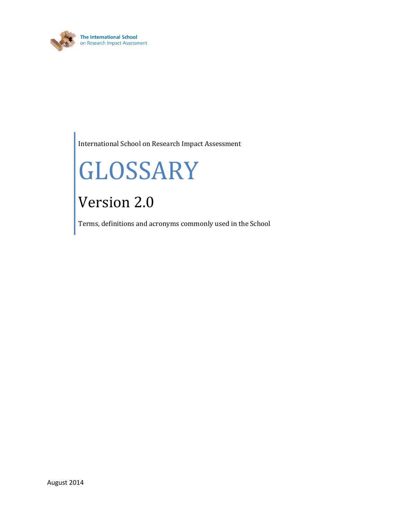

International School on Research Impact Assessment

# GLOSSARY

# Version 2.0

Terms, definitions and acronyms commonly used in the School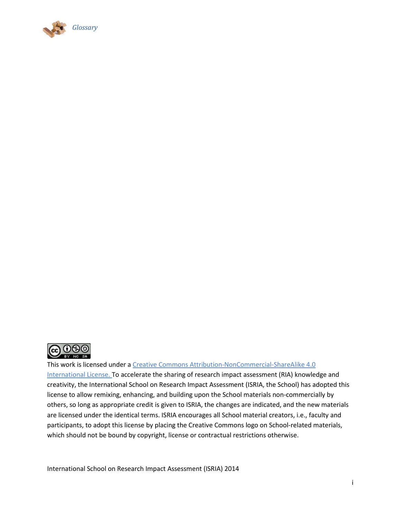



This work is licensed under a [Creative Commons Attribution-NonCommercial-ShareAlike](http://creativecommons.org/licenses/by-nc-sa/4.0/) 4.0

[International License.](http://creativecommons.org/licenses/by-nc-sa/4.0/) To accelerate the sharing of research impact assessment (RIA) knowledge and creativity, the International School on Research Impact Assessment (ISRIA, the School) has adopted this license to allow remixing, enhancing, and building upon the School materials non-commercially by others, so long as appropriate credit is given to ISRIA, the changes are indicated, and the new materials are licensed under the identical terms. ISRIA encourages all School material creators, i.e., faculty and participants, to adopt this license by placing the Creative Commons logo on School-related materials, which should not be bound by copyright, license or contractual restrictions otherwise.

International School on Research Impact Assessment (ISRIA) 2014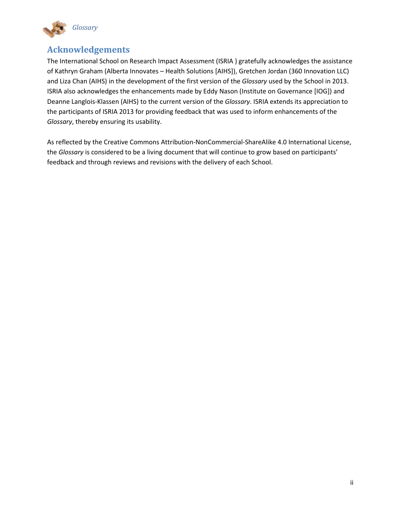

## **Acknowledgements**

The International School on Research Impact Assessment (ISRIA ) gratefully acknowledges the assistance of Kathryn Graham (Alberta Innovates – Health Solutions [AIHS]), Gretchen Jordan (360 Innovation LLC) and Liza Chan (AIHS) in the development of the first version of the *Glossary* used by the School in 2013. ISRIA also acknowledges the enhancements made by Eddy Nason (Institute on Governance [IOG]) and Deanne Langlois-Klassen (AIHS) to the current version of the *Glossary*. ISRIA extends its appreciation to the participants of ISRIA 2013 for providing feedback that was used to inform enhancements of the *Glossary*, thereby ensuring its usability.

As reflected by the Creative Commons Attribution-NonCommercial-ShareAlike 4.0 International License, the *Glossary* is considered to be a living document that will continue to grow based on participants' feedback and through reviews and revisions with the delivery of each School.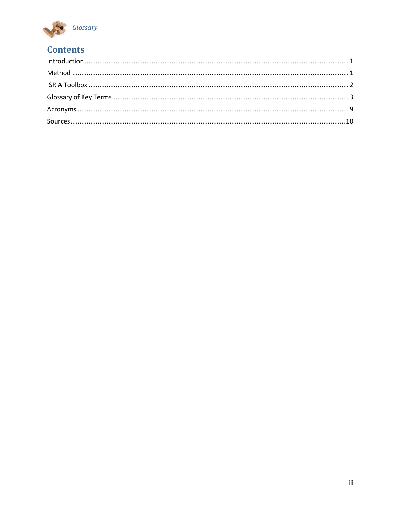

# **Contents**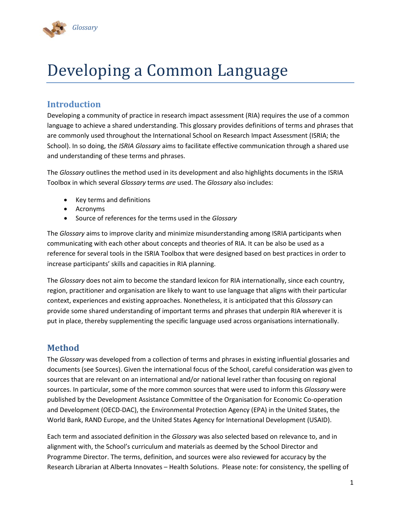

# Developing a Common Language

### <span id="page-4-0"></span>**Introduction**

Developing a community of practice in research impact assessment (RIA) requires the use of a common language to achieve a shared understanding. This glossary provides definitions of terms and phrases that are commonly used throughout the International School on Research Impact Assessment (ISRIA; the School). In so doing, the *ISRIA Glossary* aims to facilitate effective communication through a shared use and understanding of these terms and phrases.

The *Glossary* outlines the method used in its development and also highlights documents in the ISRIA Toolbox in which several *Glossary* terms *are* used. The *Glossary* also includes:

- Key terms and definitions
- **Acronyms**
- Source of references for the terms used in the *Glossary*

The *Glossary* aims to improve clarity and minimize misunderstanding among ISRIA participants when communicating with each other about concepts and theories of RIA. It can be also be used as a reference for several tools in the ISRIA Toolbox that were designed based on best practices in order to increase participants' skills and capacities in RIA planning.

The *Glossary* does not aim to become the standard lexicon for RIA internationally, since each country, region, practitioner and organisation are likely to want to use language that aligns with their particular context, experiences and existing approaches. Nonetheless, it is anticipated that this *Glossary* can provide some shared understanding of important terms and phrases that underpin RIA wherever it is put in place, thereby supplementing the specific language used across organisations internationally.

#### <span id="page-4-1"></span>**Method**

The *Glossary* was developed from a collection of terms and phrases in existing influential glossaries and documents (see Sources). Given the international focus of the School, careful consideration was given to sources that are relevant on an international and/or national level rather than focusing on regional sources. In particular, some of the more common sources that were used to inform this *Glossary* were published by the Development Assistance Committee of the Organisation for Economic Co-operation and Development (OECD-DAC), the Environmental Protection Agency (EPA) in the United States, the World Bank, RAND Europe, and the United States Agency for International Development (USAID).

Each term and associated definition in the *Glossary* was also selected based on relevance to, and in alignment with, the School's curriculum and materials as deemed by the School Director and Programme Director. The terms, definition, and sources were also reviewed for accuracy by the Research Librarian at Alberta Innovates – Health Solutions. Please note: for consistency, the spelling of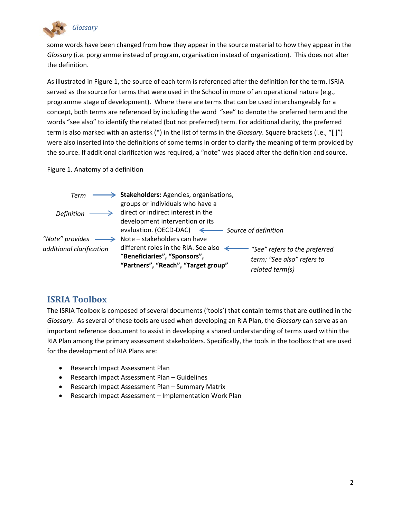

some words have been changed from how they appear in the source material to how they appear in the *Glossary* (i.e. porgramme instead of program, organisation instead of organization). This does not alter the definition.

As illustrated in Figure 1, the source of each term is referenced after the definition for the term. ISRIA served as the source for terms that were used in the School in more of an operational nature (e.g., programme stage of development). Where there are terms that can be used interchangeably for a concept, both terms are referenced by including the word "see" to denote the preferred term and the words "see also" to identify the related (but not preferred) term. For additional clarity, the preferred term is also marked with an asterisk (\*) in the list of terms in the *Glossary*. Square brackets (i.e., "[ ]") were also inserted into the definitions of some terms in order to clarify the meaning of term provided by the source. If additional clarification was required, a "note" was placed after the definition and source.

Figure 1. Anatomy of a definition



### <span id="page-5-0"></span>**ISRIA Toolbox**

The ISRIA Toolbox is composed of several documents ('tools') that contain terms that are outlined in the *Glossary*. As several of these tools are used when developing an RIA Plan, the *Glossary* can serve as an important reference document to assist in developing a shared understanding of terms used within the RIA Plan among the primary assessment stakeholders. Specifically, the tools in the toolbox that are used for the development of RIA Plans are:

- Research Impact Assessment Plan
- Research Impact Assessment Plan Guidelines
- Research Impact Assessment Plan Summary Matrix
- Research Impact Assessment Implementation Work Plan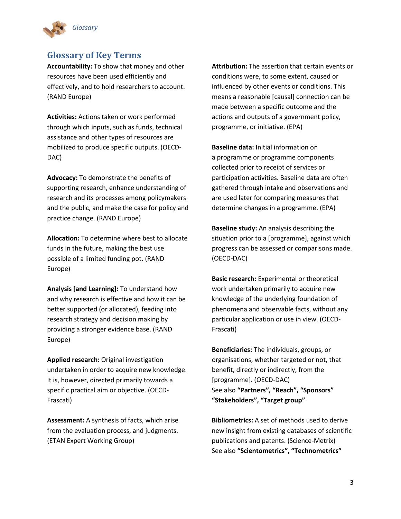

#### <span id="page-6-0"></span>**Glossary of Key Terms**

**Accountability:** To show that money and other resources have been used efficiently and effectively, and to hold researchers to account. (RAND Europe)

**Activities:** Actions taken or work performed through which inputs, such as funds, technical assistance and other types of resources are mobilized to produce specific outputs. (OECD-DAC)

**Advocacy:** To demonstrate the benefits of supporting research, enhance understanding of research and its processes among policymakers and the public, and make the case for policy and practice change. (RAND Europe)

**Allocation:** To determine where best to allocate funds in the future, making the best use possible of a limited funding pot. (RAND Europe)

**Analysis [and Learning]:** To understand how and why research is effective and how it can be better supported (or allocated), feeding into research strategy and decision making by providing a stronger evidence base. (RAND Europe)

**Applied research:** Original investigation undertaken in order to acquire new knowledge. It is, however, directed primarily towards a specific practical aim or objective. (OECD-Frascati)

**Assessment:** A synthesis of facts, which arise from the evaluation process, and judgments. (ETAN Expert Working Group)

**Attribution:** The assertion that certain events or conditions were, to some extent, caused or influenced by other events or conditions. This means a reasonable [causal] connection can be made between a specific outcome and the actions and outputs of a government policy, programme, or initiative. (EPA)

**Baseline data:** Initial information on a programme or programme components collected prior to receipt of services or participation activities. Baseline data are often gathered through intake and observations and are used later for comparing measures that determine changes in a programme. (EPA)

**Baseline study:** An analysis describing the situation prior to a [programme], against which progress can be assessed or comparisons made. (OECD-DAC)

<span id="page-6-1"></span>**Basic research:** Experimental or theoretical work undertaken primarily to acquire new knowledge of the underlying foundation of phenomena and observable facts, without any particular application or use in view. (OECD-Frascati)

**Beneficiaries:** The individuals, groups, or organisations, whether targeted or not, that benefit, directly or indirectly, from the [programme]. (OECD-DAC) See also **"Partners", "Reach", "Sponsors" "Stakeholders", "Target group"**

**Bibliometrics:** A set of methods used to derive new insight from existing databases of scientific publications and patents. (Science-Metrix) See also **"Scientometrics", "Technometrics"**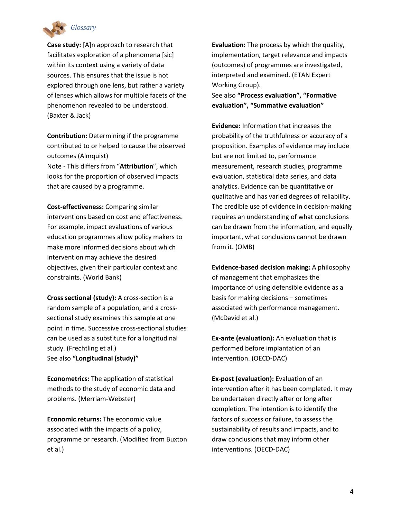

**Case study:** [A]n approach to research that facilitates exploration of a phenomena [sic] within its context using a variety of data sources. This ensures that the issue is not explored through one lens, but rather a variety of lenses which allows for multiple facets of the phenomenon revealed to be understood. (Baxter & Jack)

**Contribution:** Determining if the programme contributed to or helped to cause the observed outcomes (Almquist)

Note - This differs from "**Attribution**", which looks for the proportion of observed impacts that are caused by a programme.

**Cost-effectiveness:** Comparing similar interventions based on cost and effectiveness. For example, impact evaluations of various education programmes allow policy makers to make more informed decisions about which intervention may achieve the desired objectives, given their particular context and constraints. (World Bank)

**Cross sectional (study):** A cross-section is a random sample of a population, and a crosssectional study examines this sample at one point in time. Successive cross-sectional studies can be used as a substitute for a longitudinal study. (Frechtling et al.) See also **"Longitudinal (study)"**

**Econometrics:** The application of statistical methods to the study of economic data and problems. (Merriam-Webster)

**Economic returns:** The economic value associated with the impacts of a policy, programme or research. (Modified from Buxton et al.)

**Evaluation:** The process by which the quality, implementation, target relevance and impacts (outcomes) of programmes are investigated, interpreted and examined. (ETAN Expert Working Group).

See also **"Process evaluation", "Formative evaluation", "Summative evaluation"**

**Evidence:** Information that increases the probability of the truthfulness or accuracy of a proposition. Examples of evidence may include but are not limited to, performance measurement, research studies, programme evaluation, statistical data series, and data analytics. Evidence can be quantitative or qualitative and has varied degrees of reliability. The credible use of evidence in decision-making requires an understanding of what conclusions can be drawn from the information, and equally important, what conclusions cannot be drawn from it. (OMB)

**Evidence-based decision making:** A philosophy of management that emphasizes the importance of using defensible evidence as a basis for making decisions – sometimes associated with performance management. (McDavid et al.)

**Ex-ante (evaluation):** An evaluation that is performed before implantation of an intervention. (OECD-DAC)

**Ex-post (evaluation):** Evaluation of an intervention after it has been completed. It may be undertaken directly after or long after completion. The intention is to identify the factors of success or failure, to assess the sustainability of results and impacts, and to draw conclusions that may inform other interventions. (OECD-DAC)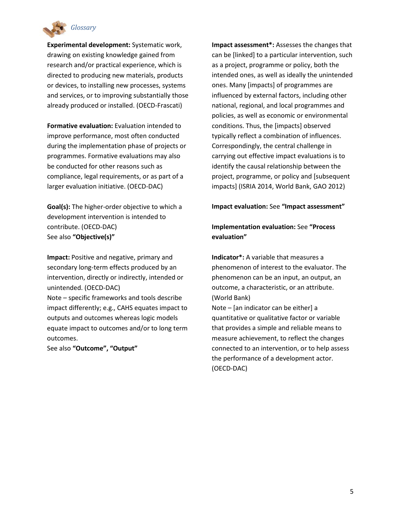

**Experimental development:** Systematic work, drawing on existing knowledge gained from research and/or practical experience, which is directed to producing new materials, products or devices, to installing new processes, systems and services, or to improving substantially those already produced or installed. (OECD-Frascati)

**Formative evaluation:** Evaluation intended to improve performance, most often conducted during the implementation phase of projects or programmes. Formative evaluations may also be conducted for other reasons such as compliance, legal requirements, or as part of a larger evaluation initiative. (OECD-DAC)

**Goal(s):** The higher-order objective to which a development intervention is intended to contribute. (OECD-DAC) See also **"Objective(s)"**

**Impact:** Positive and negative, primary and secondary long-term effects produced by an intervention, directly or indirectly, intended or unintended. (OECD-DAC) Note – specific frameworks and tools describe

impact differently; e.g., CAHS equates impact to outputs and outcomes whereas logic models equate impact to outcomes and/or to long term outcomes.

See also **"Outcome", "Output"**

**Impact assessment\*:** Assesses the changes that can be [linked] to a particular intervention, such as a project, programme or policy, both the intended ones, as well as ideally the unintended ones. Many [impacts] of programmes are influenced by external factors, including other national, regional, and local programmes and policies, as well as economic or environmental conditions. Thus, the [impacts] observed typically reflect a combination of influences. Correspondingly, the central challenge in carrying out effective impact evaluations is to identify the causal relationship between the project, programme, or policy and [subsequent impacts] (ISRIA 2014, World Bank, GAO 2012)

#### **Impact evaluation:** See **"Impact assessment"**

#### **Implementation evaluation:** See **"Process evaluation"**

**Indicator\*:** A variable that measures a phenomenon of interest to the evaluator. The phenomenon can be an input, an output, an outcome, a characteristic, or an attribute. (World Bank)

Note – [an indicator can be either] a quantitative or qualitative factor or variable that provides a simple and reliable means to measure achievement, to reflect the changes connected to an intervention, or to help assess the performance of a development actor. (OECD-DAC)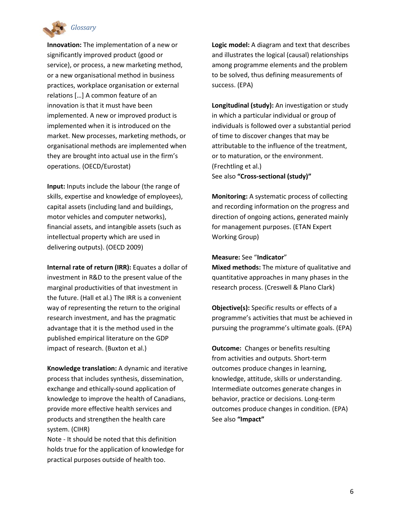

**Innovation:** The implementation of a new or significantly improved product (good or service), or process, a new marketing method, or a new organisational method in business practices, workplace organisation or external relations […] A common feature of an innovation is that it must have been implemented. A new or improved product is implemented when it is introduced on the market. New processes, marketing methods, or organisational methods are implemented when they are brought into actual use in the firm's operations. (OECD/Eurostat)

**Input:** Inputs include the labour (the range of skills, expertise and knowledge of employees), capital assets (including land and buildings, motor vehicles and computer networks), financial assets, and intangible assets (such as intellectual property which are used in delivering outputs). (OECD 2009)

**Internal rate of return (IRR):** Equates a dollar of investment in R&D to the present value of the marginal productivities of that investment in the future. (Hall et al.) The IRR is a convenient way of representing the return to the original research investment, and has the pragmatic advantage that it is the method used in the published empirical literature on the GDP impact of research. (Buxton et al.)

**Knowledge translation:** A dynamic and iterative process that includes synthesis, dissemination, exchange and ethically-sound application of knowledge to improve the health of Canadians, provide more effective health services and products and strengthen the health care system. (CIHR)

Note - It should be noted that this definition holds true for the application of knowledge for practical purposes outside of health too.

**Logic model:** A diagram and text that describes and illustrates the logical (causal) relationships among programme elements and the problem to be solved, thus defining measurements of success. (EPA)

**Longitudinal (study):** An investigation or study in which a particular individual or group of individuals is followed over a substantial period of time to discover changes that may be attributable to the influence of the treatment, or to maturation, or the environment. (Frechtling et al.) See also **"Cross-sectional (study)"**

**Monitoring:** A systematic process of collecting and recording information on the progress and direction of ongoing actions, generated mainly for management purposes. (ETAN Expert Working Group)

#### **Measure:** See "**Indicator**"

**Mixed methods:** The mixture of qualitative and quantitative approaches in many phases in the research process. (Creswell & Plano Clark)

**Objective(s):** Specific results or effects of a programme's activities that must be achieved in pursuing the programme's ultimate goals. (EPA)

**Outcome:** Changes or benefits resulting from activities and outputs. Short-term outcomes produce changes in learning, knowledge, attitude, skills or understanding. Intermediate outcomes generate changes in behavior, practice or decisions. Long-term outcomes produce changes in condition. (EPA) See also **"Impact"**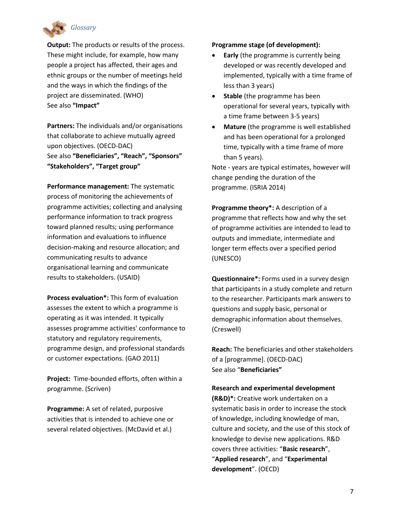

**Output:** The products or results of the process. These might include, for example, how many people a project has affected, their ages and ethnic groups or the number of meetings held and the ways in which the findings of the project are disseminated. (WHO) See also **"Impact"**

**Partners:** The individuals and/or organisations that collaborate to achieve mutually agreed upon objectives. (OECD-DAC) See also **"Beneficiaries", "Reach", "Sponsors" "Stakeholders", "Target group"**

**Performance management:** The systematic process of monitoring the achievements of programme activities; collecting and analysing performance information to track progress toward planned results; using performance information and evaluations to influence decision-making and resource allocation; and communicating results to advance organisational learning and communicate results to stakeholders. (USAID)

**Process evaluation\*:** This form of evaluation assesses the extent to which a programme is operating as it was intended. It typically assesses programme activities' conformance to statutory and regulatory requirements, programme design, and professional standards or customer expectations. (GAO 2011)

**Project:** Time-bounded efforts, often within a programme. (Scriven)

**Programme:** A set of related, purposive activities that is intended to achieve one or several related objectives. (McDavid et al.)

#### **Programme stage (of development):**

- **Early** (the programme is currently being developed or was recently developed and implemented, typically with a time frame of less than 3 years)
- **Stable** (the programme has been operational for several years, typically with a time frame between 3-5 years)
- **Mature** (the programme is well established and has been operational for a prolonged time, typically with a time frame of more than 5 years).

Note - years are typical estimates, however will change pending the duration of the programme. (ISRIA 2014)

**Programme theory\*:** A description of a programme that reflects how and why the set of programme activities are intended to lead to outputs and immediate, intermediate and longer term effects over a specified period (UNESCO)

**Questionnaire\*:** Forms used in a survey design that participants in a study complete and return to the researcher. Participants mark answers to questions and supply basic, personal or demographic information about themselves. (Creswell)

**Reach:** The beneficiaries and other stakeholders of a [programme]. (OECD-DAC) See also "**Beneficiaries"**

#### **Research and experimental development**

**(R&D)\*:** Creative work undertaken on a systematic basis in order to increase the stock of knowledge, including knowledge of man, culture and society, and the use of this stock of knowledge to devise new applications. R&D covers three activities: "**[Basic research](#page-6-1)**", "**Applied research**", and "**Experimental development**". (OECD)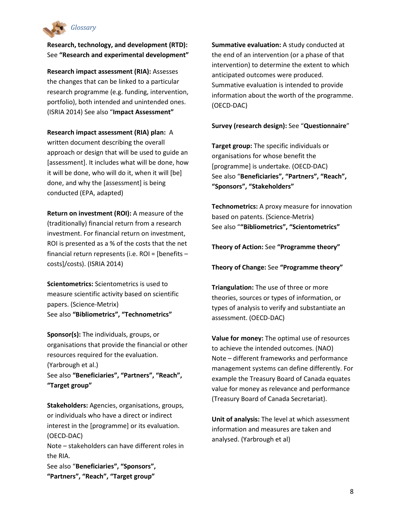

**Research, technology, and development (RTD):**  See **"Research and experimental development"**

**Research impact assessment (RIA):** Assesses the changes that can be linked to a particular research programme (e.g. funding, intervention, portfolio), both intended and unintended ones. (ISRIA 2014) See also "**Impact Assessment"**

#### **Research impact assessment (RIA) plan:** A

written document describing the overall approach or design that will be used to guide an [assessment]. It includes what will be done, how it will be done, who will do it, when it will [be] done, and why the [assessment] is being conducted (EPA, adapted)

**Return on investment (ROI):** A measure of the (traditionally) financial return from a research investment. For financial return on investment, ROI is presented as a % of the costs that the net financial return represents (i.e. ROI = [benefits – costs]/costs). (ISRIA 2014)

**Scientometrics:** Scientometrics is used to measure scientific activity based on scientific papers. (Science-Metrix) See also **"Bibliometrics", "Technometrics"**

**Sponsor(s):** The individuals, groups, or organisations that provide the financial or other resources required for the evaluation. (Yarbrough et al.) See also **"Beneficiaries", "Partners", "Reach", "Target group"**

**Stakeholders:** Agencies, organisations, groups, or individuals who have a direct or indirect interest in the [programme] or its evaluation. (OECD-DAC)

Note – stakeholders can have different roles in the RIA.

See also "**Beneficiaries", "Sponsors", "Partners", "Reach", "Target group"**

**Summative evaluation:** A study conducted at the end of an intervention (or a phase of that intervention) to determine the extent to which anticipated outcomes were produced. Summative evaluation is intended to provide information about the worth of the programme. (OECD-DAC)

#### **Survey (research design):** See "**Questionnaire**"

**Target group:** The specific individuals or organisations for whose benefit the [programme] is undertake. (OECD-DAC) See also "**Beneficiaries", "Partners", "Reach", "Sponsors", "Stakeholders"**

**Technometrics:** A proxy measure for innovation based on patents. (Science-Metrix) See also "**"Bibliometrics", "Scientometrics"**

**Theory of Action:** See **"Programme theory"** 

**Theory of Change:** See **"Programme theory"** 

**Triangulation:** The use of three or more theories, sources or types of information, or types of analysis to verify and substantiate an assessment. (OECD-DAC)

**Value for money:** The optimal use of resources to achieve the intended outcomes. (NAO) Note – different frameworks and performance management systems can define differently. For example the Treasury Board of Canada equates value for money as relevance and performance (Treasury Board of Canada Secretariat).

**Unit of analysis:** The level at which assessment information and measures are taken and analysed. (Yarbrough et al)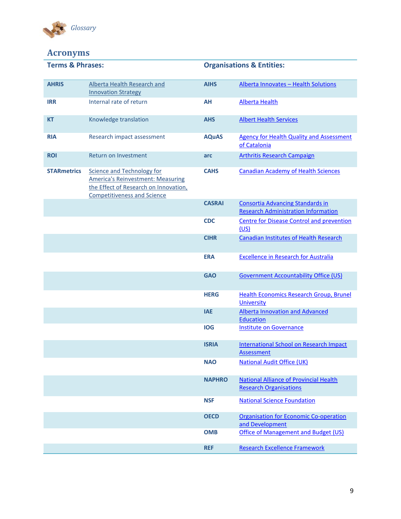

# <span id="page-12-0"></span>**Acronyms**

| <b>Terms &amp; Phrases:</b> |                                                                                                                                                              | <b>Organisations &amp; Entities:</b> |                                                                                       |
|-----------------------------|--------------------------------------------------------------------------------------------------------------------------------------------------------------|--------------------------------------|---------------------------------------------------------------------------------------|
| <b>AHRIS</b>                | Alberta Health Research and<br><b>Innovation Strategy</b>                                                                                                    | <b>AIHS</b>                          | Alberta Innovates - Health Solutions                                                  |
| <b>IRR</b>                  | Internal rate of return                                                                                                                                      | AH                                   | <b>Alberta Health</b>                                                                 |
| <b>KT</b>                   | Knowledge translation                                                                                                                                        | <b>AHS</b>                           | <b>Albert Health Services</b>                                                         |
| <b>RIA</b>                  | Research impact assessment                                                                                                                                   | <b>AQuAS</b>                         | <b>Agency for Health Quality and Assessment</b><br>of Catalonia                       |
| <b>ROI</b>                  | Return on Investment                                                                                                                                         | arc                                  | <b>Arthritis Research Campaign</b>                                                    |
| <b>STARmetrics</b>          | <b>Science and Technology for</b><br><b>America's Reinvestment: Measuring</b><br>the Effect of Research on Innovation,<br><b>Competitiveness and Science</b> | <b>CAHS</b>                          | <b>Canadian Academy of Health Sciences</b>                                            |
|                             |                                                                                                                                                              | <b>CASRAI</b>                        | <b>Consortia Advancing Standards in</b><br><b>Research Administration Information</b> |
|                             |                                                                                                                                                              | <b>CDC</b>                           | <b>Centre for Disease Control and prevention</b><br>(US)                              |
|                             |                                                                                                                                                              | <b>CIHR</b>                          | <b>Canadian Institutes of Health Research</b>                                         |
|                             |                                                                                                                                                              | <b>ERA</b>                           | <b>Excellence in Research for Australia</b>                                           |
|                             |                                                                                                                                                              | <b>GAO</b>                           | <b>Government Accountability Office (US)</b>                                          |
|                             |                                                                                                                                                              | <b>HERG</b>                          | <b>Health Economics Research Group, Brunel</b><br><b>University</b>                   |
|                             |                                                                                                                                                              | <b>IAE</b>                           | <b>Alberta Innovation and Advanced</b><br><b>Education</b>                            |
|                             |                                                                                                                                                              | <b>IOG</b>                           | <b>Institute on Governance</b>                                                        |
|                             |                                                                                                                                                              | <b>ISRIA</b>                         | International School on Research Impact<br>Assessment                                 |
|                             |                                                                                                                                                              | <b>NAO</b>                           | <b>National Audit Office (UK)</b>                                                     |
|                             |                                                                                                                                                              | <b>NAPHRO</b>                        | <b>National Alliance of Provincial Health</b><br><b>Research Organisations</b>        |
|                             |                                                                                                                                                              | <b>NSF</b>                           | <b>National Science Foundation</b>                                                    |
|                             |                                                                                                                                                              | <b>OECD</b>                          | <b>Organisation for Economic Co-operation</b><br>and Development                      |
|                             |                                                                                                                                                              | <b>OMB</b>                           | <b>Office of Management and Budget (US)</b>                                           |
|                             |                                                                                                                                                              | <b>REF</b>                           | <b>Research Excellence Framework</b>                                                  |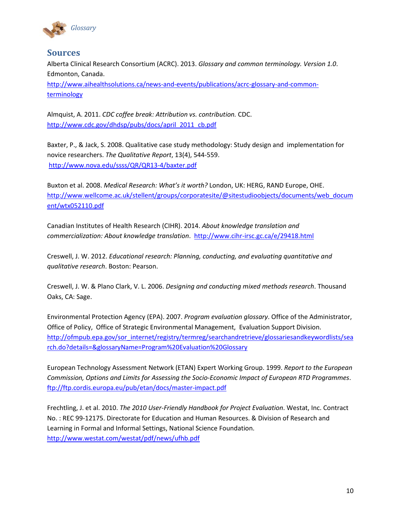

#### <span id="page-13-0"></span>**Sources**

Alberta Clinical Research Consortium (ACRC). 2013. *Glossary and common terminology. Version 1.0*. Edmonton, Canada. [http://www.aihealthsolutions.ca/news-and-events/publications/acrc-glossary-and-common](http://www.aihealthsolutions.ca/news-and-events/publications/acrc-glossary-and-common-terminology/)[terminology](http://www.aihealthsolutions.ca/news-and-events/publications/acrc-glossary-and-common-terminology/)

Almquist, A. 2011. *CDC coffee break: Attribution vs. contribution.* CDC. [http://www.cdc.gov/dhdsp/pubs/docs/april\\_2011\\_cb.pdf](http://www.cdc.gov/dhdsp/pubs/docs/april_2011_cb.pdf)

Baxter, P., & Jack, S. 2008. Qualitative case study methodology: Study design and implementation for novice researchers. *The Qualitative Report*, 13(4), 544-559. <http://www.nova.edu/ssss/QR/QR13-4/baxter.pdf>

Buxton et al. 2008. *Medical Research: What's it worth?* London, UK: HERG, RAND Europe, OHE. [http://www.wellcome.ac.uk/stellent/groups/corporatesite/@sitestudioobjects/documents/web\\_docum](http://www.wellcome.ac.uk/stellent/groups/corporatesite/@sitestudioobjects/documents/web_document/wtx052110.pdf) [ent/wtx052110.pdf](http://www.wellcome.ac.uk/stellent/groups/corporatesite/@sitestudioobjects/documents/web_document/wtx052110.pdf)

Canadian Institutes of Health Research (CIHR). 2014. *About knowledge translation and commercialization: About knowledge translation*. <http://www.cihr-irsc.gc.ca/e/29418.html>

Creswell, J. W. 2012. *Educational research: Planning, conducting, and evaluating quantitative and qualitative research*. Boston: Pearson.

Creswell, J. W. & Plano Clark, V. L. 2006. *Designing and conducting mixed methods research*. Thousand Oaks, CA: Sage.

Environmental Protection Agency (EPA). 2007. *Program evaluation glossary*. Office of the Administrator, Office of Policy, Office of Strategic Environmental Management, Evaluation Support Division. [http://ofmpub.epa.gov/sor\\_internet/registry/termreg/searchandretrieve/glossariesandkeywordlists/sea](http://ofmpub.epa.gov/sor_internet/registry/termreg/searchandretrieve/glossariesandkeywordlists/search.do?details=&glossaryName=Program%20Evaluation%20Glossary) [rch.do?details=&glossaryName=Program%20Evaluation%20Glossary](http://ofmpub.epa.gov/sor_internet/registry/termreg/searchandretrieve/glossariesandkeywordlists/search.do?details=&glossaryName=Program%20Evaluation%20Glossary)

European Technology Assessment Network (ETAN) Expert Working Group. 1999. *Report to the European Commission, Options and Limits for Assessing the Socio-Economic Impact of European RTD Programmes*. <ftp://ftp.cordis.europa.eu/pub/etan/docs/master-impact.pdf>

Frechtling, J. et al. 2010. *The 2010 User-Friendly Handbook for Project Evaluation*. Westat, Inc. Contract No. : REC 99-12175. Directorate for Education and Human Resources. & Division of Research and Learning in Formal and Informal Settings, National Science Foundation. <http://www.westat.com/westat/pdf/news/ufhb.pdf>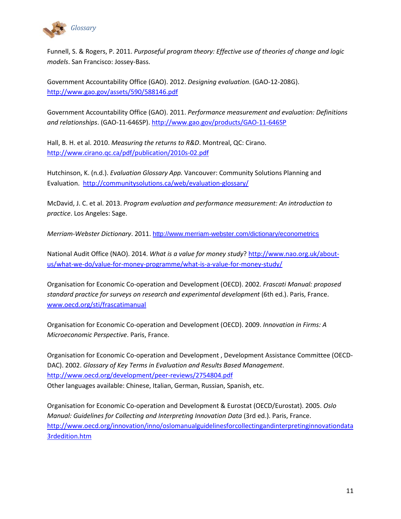

Funnell, S. & Rogers, P. 2011. *Purposeful program theory: Effective use of theories of change and logic models*. San Francisco: Jossey-Bass.

Government Accountability Office (GAO). 2012. *Designing evaluation*. (GAO-12-208G). <http://www.gao.gov/assets/590/588146.pdf>

Government Accountability Office (GAO). 2011. *Performance measurement and evaluation: Definitions and relationships*. (GAO-11-646SP). <http://www.gao.gov/products/GAO-11-646SP>

Hall, B. H. et al. 2010. *Measuring the returns to R&D*. Montreal, QC: Cirano. <http://www.cirano.qc.ca/pdf/publication/2010s-02.pdf>

Hutchinson, K. (n.d.). *Evaluation Glossary App.* Vancouver: Community Solutions Planning and Evaluation. <http://communitysolutions.ca/web/evaluation-glossary/>

McDavid, J. C. et al. 2013. *Program evaluation and performance measurement: An introduction to practice*. Los Angeles: Sage.

*Merriam-Webster Dictionary*. 2011. <http://www.merriam-webster.com/dictionary/econometrics>

National Audit Office (NAO). 2014. *What is a value for money study*? [http://www.nao.org.uk/about](http://www.nao.org.uk/about-us/what-we-do/value-for-money-programme/what-is-a-value-for-money-study/)[us/what-we-do/value-for-money-programme/what-is-a-value-for-money-study/](http://www.nao.org.uk/about-us/what-we-do/value-for-money-programme/what-is-a-value-for-money-study/)

Organisation for Economic Co-operation and Development (OECD). 2002*. Frascati Manual: proposed standard practice for surveys on research and experimental development* (6th ed.). Paris, France. [www.oecd.org/sti/frascatimanual](http://www.oecd.org/sti/frascatimanual)

Organisation for Economic Co-operation and Development (OECD). 2009. *Innovation in Firms: A Microeconomic Perspective*. Paris, France.

Organisation for Economic Co-operation and Development , Development Assistance Committee (OECD-DAC). 2002. *Glossary of Key Terms in Evaluation and Results Based Management*. <http://www.oecd.org/development/peer-reviews/2754804.pdf> Other languages available: Chinese, Italian, German, Russian, Spanish, etc.

Organisation for Economic Co-operation and Development & Eurostat (OECD/Eurostat). 2005. *Oslo Manual: Guidelines for Collecting and Interpreting Innovation Data* (3rd ed.). Paris, France. [http://www.oecd.org/innovation/inno/oslomanualguidelinesforcollectingandinterpretinginnovationdata](http://www.oecd.org/innovation/inno/oslomanualguidelinesforcollectingandinterpretinginnovationdata3rdedition.htm) [3rdedition.htm](http://www.oecd.org/innovation/inno/oslomanualguidelinesforcollectingandinterpretinginnovationdata3rdedition.htm)